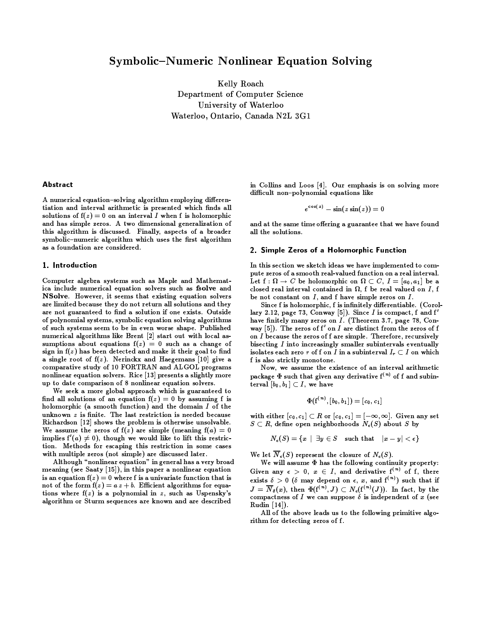## **Symbolic–Numeric Nonlinear Equation Solving**

Kelly Roach Department of Computer Science University of Waterloo Waterloo, Ontario, Canada N2L 3G1

## Abstract

A numerical equation-solving algorithm employing differentiation and interval arithmetic is presented which finds all solutions of  $f(z) = 0$  on an interval I when f is holomorphic and has simple zeros. A two dimensional generalization of this algorithm is discussed. Finally, aspects of a broader symbolic-numeric algorithm which uses the first algorithm as a foundation are considered.

## 1. Introduction

Computer algebra systems such as Maple and Mathematica include numerical equation solvers such as fsolve and NSolve. However, it seems that existing equation solvers are limited because they do not return all solutions and they are not guaranteed to find a solution if one exists. Outside of polynomial systems, symbolic equation solving algorithms of such systems seem to be in even worse shape. Published numerical algorithms like Brent [2] start out with local assumptions about equations  $f(z) = 0$  such as a change of sign in  $f(z)$  has been detected and make it their goal to find a single root of  $f(z)$ . Nerinckx and Haegemans [10] give a comparative study of 10 FORTRAN and ALGOL programs nonlinear equation solvers. Rice [13] presents a slightly more up to date comparison of 8 nonlinear equation solvers.

We seek a more global approach which is guaranteed to find all solutions of an equation  $f(z) = 0$  by assuming f is holomorphic (a smooth function) and the domain I of the unknown z is finite. The last restriction is needed because Richardson [12] shows the problem is otherwise unsolvable. We assume the zeros of  $f(z)$  are simple (meaning  $f(a) = 0$ implies  $f'(a) \neq 0$ , though we would like to lift this restriction. Methods for escaping this restriction in some cases with multiple zeros (not simple) are discussed later.

Although "nonlinear equation" in general has a very broad meaning (see Saaty  $[15]$ ), in this paper a nonlinear equation is an equation  $f(z) = 0$  where f is a univariate function that is not of the form  $f(z) = a z + b$ . Efficient algorithms for equations where  $f(z)$  is a polynomial in z, such as Uspensky's algorithm or Sturm sequences are known and are described

in Collins and Loos [4]. Our emphasis is on solving more difficult non-polynomial equations like

$$
e^{\cos(z)} - \sin(z\sin(z)) = 0
$$

and at the same time offering a guarantee that we have found all the solutions.

#### 2. Simple Zeros of a Holomorphic Function

In this section we sketch ideas we have implemented to compute zeros of a smooth real-valued function on a real interval. Let  $f: \Omega \to C$  be holomorphic on  $\Omega \subset C$ ,  $I = [a_0, a_1]$  be a closed real interval contained in  $\Omega$ , f be real valued on I, f be not constant on  $I$ , and  $f$  have simple zeros on  $I$ .

Since f is holomorphic, f is infinitely differentiable. (Corollary 2.12, page 73, Conway [5]). Since  $I$  is compact, f and  $f'$ have finitely many zeros on *I*. (Theorem 3.7, page 78, Conway [5]). The zeros of  $f'$  on  $I$  are distinct from the zeros of  $f$ on I because the zeros of f are simple. Therefore, recursively bisecting  $I$  into increasingly smaller subintervals eventually isolates each zero r of f on I in a subinterval  $I_r \subset I$  on which f is also strictly monotone.

Now, we assume the existence of an interval arithmetic package  $\Phi$  such that given any derivative  $f^{(n)}$  of f and subinterval  $[b_0, b_1] \subset I$ , we have

$$
\Phi({\bold{f}}^{(\,n)},[b_0,b_1]) = [c_0,c_1]
$$

with either  $[c_0, c_1] \subset R$  or  $[c_0, c_1] = [-\infty, \infty]$ . Given any set  $S \subset R$ , define open neighborhoods  $N_{\epsilon}(S)$  about S by

$$
N_{\epsilon}(S)=\{x\ |\ \exists y\in S\quad \text{such that}\quad |x-y|<\epsilon\}
$$

We let  $\overline{N}_{\epsilon}(S)$  represent the closure of  $N_{\epsilon}(S)$ .

We will assume  $\Phi$  has the following continuity property: Given any  $\epsilon > 0$ ,  $x \in I$ , and derivative  $f^{(n)}$  of f, there exists  $\delta > 0$  ( $\delta$  may depend on  $\epsilon$ , x, and  $f^{(n)}$ ) such that if  $J = \overline{N}_{\delta}(x)$ , then  $\Phi(f^{(n)}, J) \subset N_{\epsilon}(f^{(n)}(J))$ . In fact, by the compactness of I we can suppose  $\delta$  is independent of x (see Rudin [14]).

All of the above leads us to the following primitive algorithm for detecting zeros of f.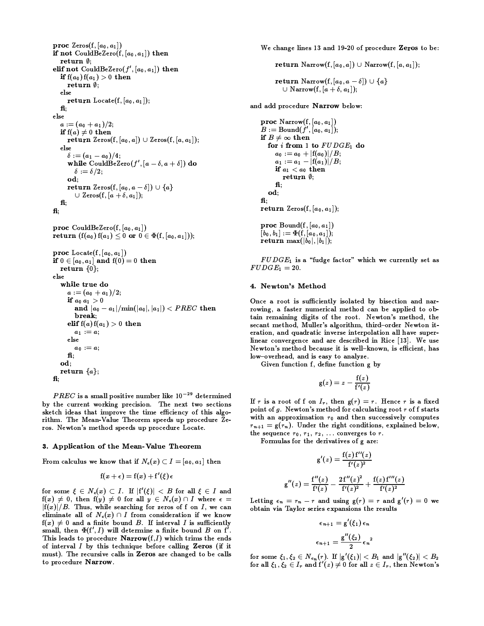```
proc \text{Zeros}(f, [a_0, a_1])if not CouldBeZero(f, [a_0, a_1]) then
  return \emptyset:
elif not CouldBeZero(f', [a_0, a_1]) then
  if f(a_0) f(a_1) > 0 then
     return \emptyset:
  else
     return Locate(f, [a_0, a_1]);
  f_1;
else
  a := (a_0 + a_1)/2;if f(a) \neq 0 then
     return Zeros(f, [a_0, a]) \cup Zeros(f, [a, a_1]);
  else
      \delta := (a_1 - a_0)/4;while CouldBeZero(f', [a - \delta, a + \delta]) do
         \delta := \delta/2;od;
      return Zeros(f, [a_0, a - \delta]) \cup \{a\}\cup Zeros(f, [a + \delta, a<sub>1</sub>]);
  f_1;
\mathbf{f}:
```
proc CouldBeZero(f,  $[a_0, a_1]$ ) return  $(f(a_0) f(a_1) \leq 0$  or  $0 \in \Phi(f, [a_0, a_1])$ ; **proc**  $Locate(f, [a_0, a_1])$ if  $0\in [a_0,a_1]$  and  $\mathrm{f}(0)=0$  then return  $\{0\};$ معام while true do  $a:=(a_0+a_1)/2;$ if  $a_0 a_1 > 0$ and  $|a_0 - a_1| / \min(|a_0|, |a_1|) < PREC$  then break: elif  $f(a) f(a_1) > 0$  then  $a_1 := a;$ else  $a_0 := a;$  $\mathbf{f}$ od: return  $\{a\}$ ; fi;

 $PREC$  is a small positive number like  $10^{-29}$  determined by the current working precision. The next two sections sketch ideas that improve the time efficiency of this algorithm. The Mean-Value Theorem speeds up procedure Zeros. Newton's method speeds up procedure Locate.

#### 3. Application of the Mean-Value Theorem

From calculus we know that if  $N_{\epsilon}(x) \subset I = [a_0, a_1]$  then

$$
\mathbf{f}(x+\epsilon) = \mathbf{f}(x) + \mathbf{f}'(\xi)\,\epsilon
$$

for some  $\xi \in N_{\epsilon}(x) \subset I$ . If  $|f'(\xi)| < B$  for all  $\xi \in I$  and  $f(x) \neq 0$ , then  $f(y) \neq 0$  for all  $y \in N_{\epsilon}(x) \cap I$  where  $\epsilon =$  $|f(x)|/B$ . Thus, while searching for zeros of f on I, we can eliminate all of  $N_{\epsilon}(x) \cap I$  from consideration if we know  $f(x) \neq 0$  and a finite bound B. If interval I is sufficiently small, then  $\Phi(f', I)$  will determine a finite bound B on f'. This leads to procedure  $Narrow(f, I)$  which trims the ends of interval  $I$  by this technique before calling Zeros (if it must). The recursive calls in Zeros are changed to be calls to procedure Narrow.

We change lines 13 and 19-20 of procedure Zeros to be:

return Narrow $(f, [a_0, a]) \cup$  Narrow $(f, [a, a_1])$ ; return Narrow $(f, [a_0, a-\delta]) \cup \{a\}$ 

and add procedure Narrow below:

 $\cup$  Narrow(f, [a +  $\delta$ , a<sub>1</sub>]);

proc  $Narrow(f, [a_0, a_1])$  $B := \text{Bound}(f', [a_0, a_1]);$ if  $B \neq \infty$  then for  $i$  from 1 to  $FUDGE_1$  do  $a_0 := a_0 + |f(a_0)|/B;$  $a_1 := a_1 - |f(a_1)|/B;$ if  $a_1 < a_0$  then return  $\emptyset$ ;  $f\mathbf{f}$ : od:  $f_i$ return Zeros $(f, [a_0, a_1])$ ; proc Bound $(f, [a_0, a_1])$  $[b_0, b_1] := \Phi(f, [a_0, a_1])$ ; return max $(|b_0|, |b_1|);$ 

 $FUDGE$ <sub>1</sub> is a "fudge factor" which we currently set as  $FUDGE_1 = 20.$ 

#### 4. Newton's Method

Once a root is sufficiently isolated by bisection and narrowing, a faster numerical method can be applied to obtain remaining digits of the root. Newton's method, the secant method, Muller's algorithm, third-order Newton iteration, and quadratic inverse interpolation all have superlinear convergence and are described in Rice [13]. We use Newton's method because it is well-known, is efficient, has low-overhead, and is easy to analyze.

Given function f, define function g by

$$
g(z)=z-\frac{f(z)}{f'(z)}
$$

If r is a root of f on  $I_r$ , then  $g(r) = r$ . Hence r is a fixed point of  $g$ . Newton's method for calculating root  $r$  of  $f$  starts with an approximation  $r_0$  and then successively computes  $r_{n+1} = g(r_n)$ . Under the right conditions, explained below, the sequence  $r_0, r_1, r_2, \ldots$  converges to r.

Formulas for the derivatives of g are:

$$
g'(z) = \frac{f(z) f''(z)}{f'(z)^2}
$$

$$
g''(z) = \frac{f''(z)}{f'(z)} - \frac{2 f''(z)^2}{f'(z)^2} + \frac{f(z) f'''(z)}{f'(z)^2}
$$

Letting  $\epsilon_n = r_n - r$  and using  $g(r) = r$  and  $g'(r) = 0$  we obtain via Taylor series expansions the results

$$
\epsilon_{n+1} = g'(\xi_1) \epsilon_n
$$

$$
\epsilon_{n+1} = \frac{g''(\xi_2)}{2} \epsilon_n^2
$$

**Contract Contract** 

for some  $\xi_1, \xi_2 \in N_{\epsilon_n}(r)$ . If  $|g'(\xi_1)| < B_1$  and  $|g''(\xi_2)| < B_2$ for all  $\xi_1, \xi_2 \in I_r$  and  $f'(z) \neq 0$  for all  $z \in I_r$ , then Newton's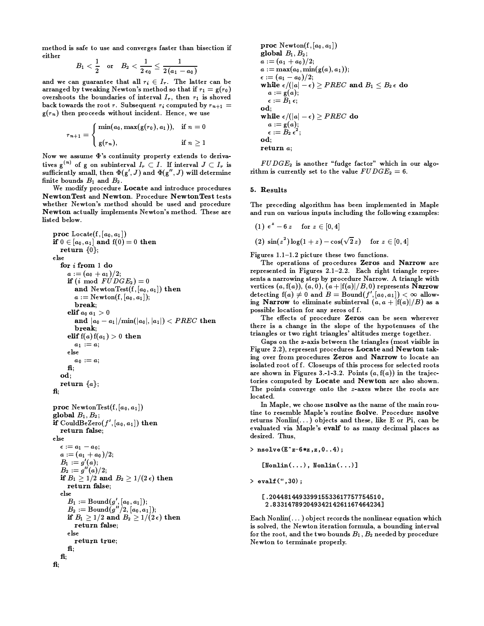method is safe to use and converges faster than bisection if either

$$
B_1\,<\,\frac{1}{2} \quad {\rm or} \quad \, B_2\,<\,\frac{1}{2\,\epsilon_0}\leq\,\frac{1}{2\,(a_1\,-\,a_0)}
$$

and we can guarantee that all  $r_i \in I_r$ . The latter can be arranged by tweaking Newton's method so that if  $r_1 = g(r_0)$ overshoots the boundaries of interval  $I_r$ , then  $r_1$  is shoved back towards the root r. Subsequent  $r_i$  computed by  $r_{n+1}$  =  $g(r_n)$  then proceeds without incident. Hence, we use

$$
r_{n+1} = \begin{cases} \min(a_0, \max(g(r_0), a_1)), & \text{if } n = 0 \\ g(r_n), & \text{if } n \ge 1 \end{cases}
$$

Now we assume  $\Phi$ 's continuity property extends to derivatives  $g^{(n)}$  of g on subinterval  $I_r \subset I$ . If interval  $J \subset I_r$  is sufficiently small, then  $\Phi(g', J)$  and  $\Phi(g'', J)$  will determine finite bounds  $B_1$  and  $B_2$ .

We modify procedure Locate and introduce procedures NewtonTest and Newton. Procedure NewtonTest tests whether Newton's method should be used and procedure Newton actually implements Newton's method. These are listed below.

```
proc Locate(f, [a_0, a_1])
if 0\in [a_0,a_1] and \mathop{\mathrm{f}}\nolimits(0)=0 then
  return \{0\};else
  for i from 1 do
     a:=(a_0+a_1)/2;if (i \mod FUDGE_2) = 0and NewtonTest(f, [a_0, a_1]) then
        a := \text{Newton}(f, [a_0, a_1]);
        break;
     elif a_0 a_1 > 0and |a_0-a_1|/{\rm min}(|a_0|,|a_1|)< PREC then
        break:
     elif f(a) f(a_1) > 0 then
        a_1 := aelse
        a_0 := a;f_iod:
  return \{a\};
fi;
proc NewtonTest(f, [a_0, a_1])global B_1, B_2;
if CouldBeZero(f', [a_0, a_1]) then
  return false;
else
  \epsilon := a_1 - a_0;a:=(a_1+a_0)/2;B_1 := g'(a);B_2 := g''(a)/2;if B_1 \geq 1/2 and B_2 \geq 1/(2\epsilon) then
     return false;
  else
     B_1 := \text{Bound}(g', [a_0, a_1]);<br>
B_2 := \text{Bound}(g''/2, [a_0, a_1]);if B_1 \geq 1/2 and B_2 \geq 1/(2\epsilon) then
        return false;
     else
        return true:
     f_1:
  f{f};
f_i;
```

```
proc Newton(f, [a_0, a_1])
global B_1, B_2;
a := (a_1 + a_0)/2;a := max(a_0, min(g(a), a_1));\epsilon := (a_1 - a_0)/2;while \epsilon/(|a|-\epsilon) \geq PREC and B_1 \leq B_2 \epsilon do
   a := g(a);\epsilon := B_1 \epsilon;od;
while \epsilon/(|a|-\epsilon) \geq PREC do
   a := g(a);\epsilon := B_2 \epsilon^2;od;
return a;
```
 $FUDGE_2$  is another "fudge factor" which in our algorithm is currently set to the value  $FUDGE_2 = 6$ .

## 5. Results

The preceding algorithm has been implemented in Maple and run on various inputs including the following examples:

(1) 
$$
e^z - 6z
$$
 for  $z \in [0, 4]$   
(2)  $\sin(z^2) \log(1 + z) - \cos(\sqrt{2}z)$  for  $z \in [0, 4]$ 

Figures  $1.1-1.2$  picture these two functions.

The operations of procedures Zeros and Narrow are represented in Figures 2.1-2.2. Each right triangle represents a narrowing step by procedure Narrow. A triangle with vertices  $(a, f(a)), (a, 0), (a + |f(a)|/B, 0)$  represents Narrow detecting  $f(a) \neq 0$  and  $B = \text{Bound}(f', [a_0, a_1]) < \infty$  allowing Narrow to eliminate subinterval  $(a, a + |f(a)|/B)$  as a possible location for any zeros of f.

The effects of procedure Zeros can be seen wherever there is a change in the slope of the hypotenuses of the triangles or two right triangles' altitudes merge together.

Gaps on the z-axis between the triangles (most visible in Figure 2.2), represent procedures Locate and Newton taking over from procedures Zeros and Narrow to locate an isolated root of f. Closeups of this process for selected roots are shown in Figures 3.-1-3.2. Points  $(a, f(a))$  in the trajectories computed by Locate and Newton are also shown. The points converge onto the z-axes where the roots are located.

In Maple, we choose nsolve as the name of the main routine to resemble Maple's routine fsolve. Procedure nsolve returns  $Nonlin(...)$  objects and these, like E or Pi, can be evaluated via Maple's evalf to as many decimal places as desired. Thus.

```
> nsolve(E^z-6*z,z,0..4);
```
 $[Nonlin(...), Nonlin(...)]$ 

 $>$  evalf  $(", 30)$ ;

```
[.204481449339915533617757754510,
2.83314789204934214261167464234]
```
Each Nonlin $(\dots)$  object records the nonlinear equation which is solved, the Newton iteration formula, a bounding interval for the root, and the two bounds  $B_1$ ,  $B_2$  needed by procedure Newton to terminate properly.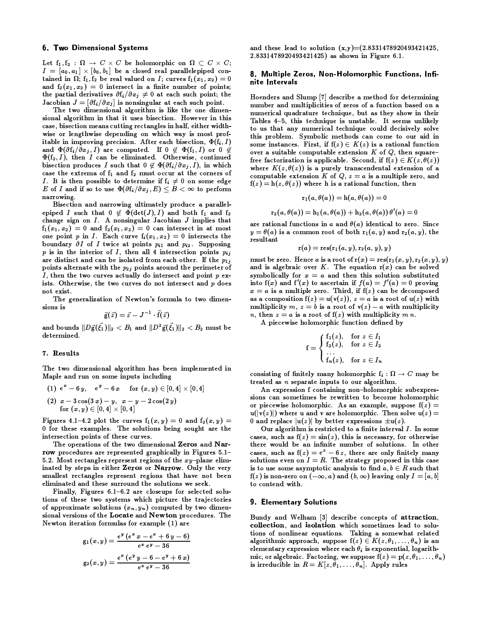## **6. Two Dimensional Systems**

Let  $f_1, f_2 : \Omega \to C \times C$  be holomorphic on  $\Omega \subset C \times C$ ;  $I = [a_0, a_1] \times [b_0, b_1]$  be a closed real parallelepiped contained in  $\Omega$ ;  $f_1, f_2$  be real valued on *I*; curves  $f_1(x_1, x_2) = 0$ and  $f_2(x_1, x_2) = 0$  intersect in a finite number of points; the partial derivatives  $\partial f_i/\partial x_j \neq 0$  at each such point; the Jacobian  $J = [\partial f_i / \partial x_j]$  is nonsingular at each such point.

The two dimensional algorithm is like the one dimensional algorithm in that it uses bisection. However in this case, bisection means cutting rectangles in half, either widthwise or lengthwise depending on which way is most profitable in improving precision. After each bisection,  $\Phi(f_i, I)$ and  $\Phi(\partial f_i/\partial x_j, I)$  are computed. If  $0 \notin \Phi(f_1, I)$  or  $0 \notin$  $\Phi(f_2, I)$ , then I can be eliminated. Otherwise, continued bisection produces I such that  $0 \notin \Phi(\partial f_i/\partial x_j, I)$ , in which case the extrema of  $f_1$  and  $f_2$  must occur at the corners of *I*. It is then possible to determine if  $f_i \neq 0$  on some edge E of I and if so to use  $\Phi(\partial f_i/\partial x_j, E) \leq B < \infty$  to perform narrowing.

Bisection and narrowing ultimately produce a parallelepiped I such that  $0 \notin \Phi(\det(J), I)$  and both  $f_1$  and  $f_2$ change sign on  $I$ . A nonsingular Jacobian  $J$  implies that  $f_1(x_1, x_2) = 0$  and  $f_2(x_1, x_2) = 0$  can intersect in at most one point p in I. Each curve  $f_i(x_1, x_2) = 0$  intersects the boundary  $\partial I$  of I twice at points  $p_{i1}$  and  $p_{i2}$ . Supposing p is in the interior of I, then all 4 intersection points  $p_{ij}$ are distinct and can be isolated from each other. If the  $p_{1j}$ points alternate with the  $p_{2j}$  points around the perimeter of I, then the two curves actually do intersect and point p exists. Otherwise, the two curves do not intersect and p does not exist.

The generalization of Newton's formula to two dimensions is

$$
\vec{\mathrm{g}}(\vec{z}) = \vec{z} - J^{-1} \cdot \vec{\mathrm{f}}(\vec{z})
$$

and bounds  $||D\vec{g}(\vec{\xi_1})||_2 < B_1$  and  $||D^2\vec{g}(\vec{\xi_1})||_2 < B_2$  must be determined.

## 7. Results

The two dimensional algorithm has been implemented in Maple and run on some inputs including

$$
\begin{array}{ll} (1) \ \ e^{x} - 6 \ y, \quad \ \ e^{y} - 6 \ x & \ \hbox{for} \ ( \, x,y) \in [0,4] \times [0,4] \\ (2) \ \ x - 3 \cos(3 \ x) - y, \ \ x - y - 2 \cos(2 \ y) \\ \hbox{for} \ ( \, x,y) \in [0,4] \times [0,4] \end{array}
$$

Figures 4.1-4.2 plot the curves  $f_1(x, y) = 0$  and  $f_2(x, y) =$ 0 for these examples. The solutions being sought are the intersection points of these curves.

The operations of the two dimensional Zeros and Narrow procedures are represented graphically in Figures 5.1-5.2. Most rectangles represent regions of the  $xy$ -plane eliminated by steps in either Zeros or Narrow. Only the very smallest rectangles represent regions that have not been eliminated and these surround the solutions we seek.

Finally, Figures  $6.1-6.2$  are closeups for selected solutions of these two systems which picture the trajectories of approximate solutions  $(x_n, y_n)$  computed by two dimensional versions of the Locate and Newton procedures. The Newton iteration formulas for example (1) are

$$
g_1(x,y) = \frac{e^y (e^x x - e^x + 6 y - 6)}{e^x e^y - 36}
$$

$$
g_2(x,y) = \frac{e^x (e^y y - 6 - e^y + 6 x)}{e^x e^y - 36}
$$

and these lead to solution  $(x,y)=(2.8331478920493421425,$ 2.8331478920493421425) as shown in Figure 6.1.

### 8. Multiple Zeros, Non-Holomorphic Functions, Infinite Intervals

Hoenders and Slump [7] describe a method for determining number and multiplicities of zeros of a function based on a numerical quadrature technique, but as they show in their Tables 4-5, this technique is unstable. It seems unlikely to us that any numerical technique could decisively solve this problem. Symbolic methods can come to our aid in some instances. First, if  $f(z) \in K(z)$  is a rational function over a suitable computable extension  $K$  of  $Q$ , then squarefree factorization is applicable. Second, if  $f(z) \in K(z, \theta(z))$ where  $K(z, \theta(z))$  is a purely transcendental extension of a computable extension K of Q,  $z = a$  is a multiple zero, and  $f(z) = h(z, \theta(z))$  where h is a rational function, then

$$
\mathbf{r}_1(a, \theta(a)) = \mathbf{h}(a, \theta(a)) = 0
$$

 ${\bf r}_2(a, \theta(a))={\bf h}_1(a, \theta(a))+{\bf h}_2(a, \theta(a))\,\theta'(a)=0$ 

are rational functions in a and  $\theta(a)$  identical to zero. Since  $y = \theta(a)$  is a common root of both  $r_1(a, y)$  and  $r_2(a, y)$ , the resultant

$$
\mathbf{r}(a) = \mathbf{res}(\mathbf{r}_1(a,y), \mathbf{r}_2(a,y), y)
$$

must be zero. Hence a is a root of  $r(x) = \text{res}(r_1(x, y), r_2(x, y), y)$ and is algebraic over K. The equation  $r(x)$  can be solved symbolically for  $x = a$  and then this solution substituted into  $f(x)$  and  $f'(x)$  to ascertain if  $f(a) = f'(a) = 0$  proving  $x = a$  is a multiple zero. Third, if  $f(z)$  can be decomposed as a composition  $f(z) = u(v(z)), z = a$  is a root of  $u(z)$  with multiplicity m,  $z = b$  is a root of  $v(z) - a$  with multiplicity *n*, then  $z = a$  is a root of  $f(z)$  with multiplicity mn.

A piecewise holomorphic function defined by

$$
f = \begin{cases} f_1(z), & \text{for } z \in I_1 \\ f_2(z), & \text{for } z \in I_2 \\ \cdots \\ f_n(z), & \text{for } z \in I_n \end{cases}
$$

consisting of finitely many holomorphic  $f_i : \Omega \to C$  may be treated as *n* separate inputs to our algorithm.

An expression f containing non-holomorphic subexpressions can sometimes be rewritten to become holomorphic or piecewise holomorphic. As an example, suppose  $f(z) =$  $u(|v(z)|)$  where u and v are holomorphic. Then solve  $u(z) =$ 0 and replace  $|u(z)|$  by better expressions  $\pm u(z)$ .

Our algorithm is restricted to a finite interval I. In some cases, such as  $f(z) = \sin(z)$ , this is necessary, for otherwise there would be an infinite number of solutions. In other cases, such as  $f(z) = e^z - 6z$ , there are only finitely many solutions even on  $I = R$ . The strategy proposed in this case is to use some asymptotic analysis to find  $a, b \in R$  such that  $f(z)$  is non-zero on  $(-\infty, a)$  and  $(b, \infty)$  leaving only  $I = [a, b]$ to contend with.

#### **9. Elementary Solutions**

Bundy and Welham [3] describe concepts of attraction, collection, and isolation which sometimes lead to solutions of nonlinear equations. Taking a somewhat related algorithmic approach, suppose  $f(z) \in K(z, \theta_1, ..., \theta_n)$  is an elementary expression where each  $\theta_i$  is exponential, logarithmic, or algebraic. Factoring, we suppose  $f(z) = p(z, \theta_1, ..., \theta_n)$ is irreducible in  $R = K[z, \theta_1, \ldots, \theta_n]$ . Apply rules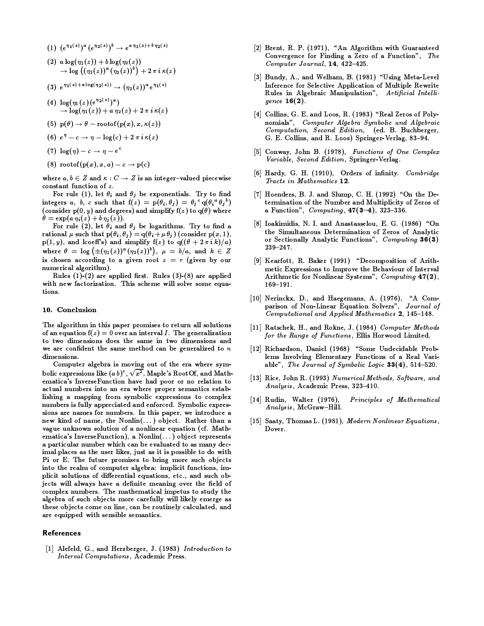- (1)  $(e^{\eta_1(z)})^a (e^{\eta_2(z)})^b \rightarrow e^{a \eta_1(z) + b \eta_2(z)}$
- (2)  $a \log(\eta_1(z)) + b \log(\eta_2(z))$ <br>  $\to \log((\eta_1(z))^a (\eta_2(z))^b) + 2 \pi i \kappa(z)$
- (3)  $e^{\eta_1(z)+a\log(\eta_2(z))} \to (\eta_2(z))^a e^{\eta_1(z)}$
- (4)  $\log(\eta_1(z) (e^{\eta_2(z)})^a)$  $\rightarrow$  log( $\eta_1(z)$ ) + a  $\eta_2(z)$  + 2  $\pi i \kappa(z)$
- (5)  $p(\theta) \rightarrow \theta$  rootof( $p(x), x, \kappa(z)$ )
- (6)  $e^{\eta} c \rightarrow \eta \log(c) + 2 \pi i \kappa(z)$
- (7)  $\log(\eta) c \rightarrow \eta e^c$
- (8) rootof(p(x), x, a) c  $\rightarrow$  p(c)

where  $a, b \in Z$  and  $\kappa : C \to Z$  is an integer-valued piecewise constant function of z.

For rule (1), let  $\theta_i$  and  $\theta_j$  be exponentials. Try to find integers a, b, c such that  $f(z) = p(\theta_i, \theta_j) = \theta_j^c q(\theta_i^a \theta_j^b)$ (consider  $p(0, y)$  and degrees) and simplify  $f(z)$  to  $q(\theta)$  where  $\theta = \exp(a \eta_i(z) + b \eta_j(z)).$ 

For rule (2), let  $\theta_i$  and  $\theta_j$  be logarithms. Try to find a rational  $\mu$  such that  $p(\theta_i, \theta_j) = q(\theta_i + \mu \theta_j)$  (consider  $p(x, 1)$ ,  $p(1, y)$ , and lcoeff's) and simplify  $f(z)$  to  $q((\theta + 2 \pi i k)/a)$ where  $\theta = \log (\pm (\eta_1(z))^a (\eta_2(z))^b)$ ,  $\mu = b/a$ , and  $k \in Z$ is chosen according to a given root  $z = r$  (given by our numerical algorithm).

Rules  $(1)-(2)$  are applied first. Rules  $(3)-(8)$  are applied with new factorization. This scheme will solve some equations.

### 10. Conclusion

The algorithm in this paper promises to return all solutions of an equation  $f(z) = 0$  over an interval I. The generalization to two dimensions does the same in two dimensions and we are confident the same method can be generalized to  $n$ dimensions.

Computer algebra is moving out of the era where symbolic expressions like  $(a b)^c$ ,  $\sqrt{x^2}$ , Maple's RootOf, and Mathematica's InverseFunction have had poor or no relation to actual numbers into an era where proper semantics establishing a mapping from symbolic expressions to complex numbers is fully appreciated and enforced. Symbolic expressions are names for numbers. In this paper, we introduce a new kind of name, the Nonlin(...) object. Rather than a vague unknown solution of a nonlinear equation (cf. Mathematica's InverseFunction), a Nonlin $(\ldots)$  object represents a particular number which can be evaluated to as many decimal places as the user likes, just as it is possible to do with Pi or E. The future promises to bring more such objects into the realm of computer algebra: implicit functions, implicit solutions of differential equations, etc., and such objects will always have a definite meaning over the field of complex numbers. The mathematical impetus to study the algebra of such objects more carefully will likely emerge as these objects come on line, can be routinely calculated, and are equipped with sensible semantics.

## References

[1] Alefeld, G., and Herzberger, J. (1983) Introduction to Interval Computations, Academic Press.

- [2] Brent, R. P. (1971), "An Algorithm with Guaranteed Convergence for Finding a Zero of a Function", The Computer Journal, 14, 422-425.
- [3] Bundy, A., and Welham, B. (1981) "Using Meta-Level Inference for Selective Application of Multiple Rewrite Rules in Algebraic Manipulation", Artificial Intelligence  $16(2)$ .
- [4] Collins, G. E. and Loos, R. (1983) "Real Zeros of Polynomials", Computer Algebra Symbolic and Algebraic Computation, Second Edition, (ed. B. Buchberger, G. E. Collins, and R. Loos) Springer-Verlag, 83-94.
- [5] Conway, John B. (1978), Functions of One Complex Variable, Second Edition, Springer-Verlag.
- [6] Hardy, G. H. (1910), Orders of infinity. Cambridge Tracts in Mathematics 12.
- [7] Hoenders, B. J. and Slump, C. H. (1992) "On the Determination of the Number and Multiplicity of Zeros of a Function",  $Computing, 47(3-4), 323-336.$
- [8] Ioakimidis, N. I. and Anastasselou, E. G. (1986) "On the Simultaneous Determination of Zeros of Analytic or Sectionally Analytic Functions", Computing 36(3)  $239 - 247.$
- [9] Kearfott, R. Baker (1991) "Decomposition of Arithmetic Expressions to Improve the Behaviour of Interval Arithmetic for Nonlinear Systems", Computing 47(2),  $169 - 191.$
- [10] Nerinckx, D., and Haegemans, A. (1976), "A Comparison of Non-Linear Equation Solvers", Journal of Computational and Applied Mathematics 2, 145-148.
- [11] Ratschek, H., and Rokne, J. (1984) Computer Methods for the Range of Functions, Ellis Horwood Limited.
- [12] Richardson, Daniel (1968) "Some Undecidable Problems Involving Elementary Functions of a Real Variable", The Journal of Symbolic Logic  $33(4)$ , 514-520.
- [13] Rice, John R. (1993) Numerical Methods, Software, and Analysis, Academic Press, 323-410.
- [14] Rudin, Walter (1976), Principles of Mathematical Analysis, McGraw-Hill.
- [15] Saaty, Thomas L. (1981), Modern Nonlinear Equations, Dover.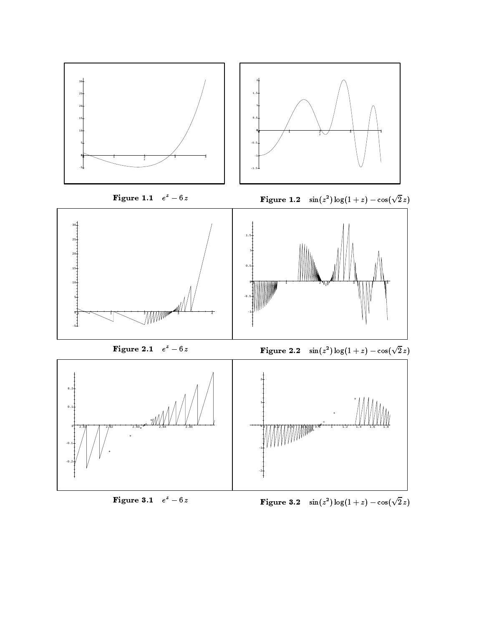

# Figure 3.1  $e^z - 6z$

 $-$ i ya ya kutoka wa 1950, waka wakazi wa 1950, waka wa 1950, wa 1961, waxa wa 1961, waxa wa 1970, waxa wa 1970, wa 1970, wa 1970, wa 1970, wa 1970, wa 1970, wa 1970, wa 1970, wa 1970, wa 1970, wa 1970, wa 1970, wa 1970,